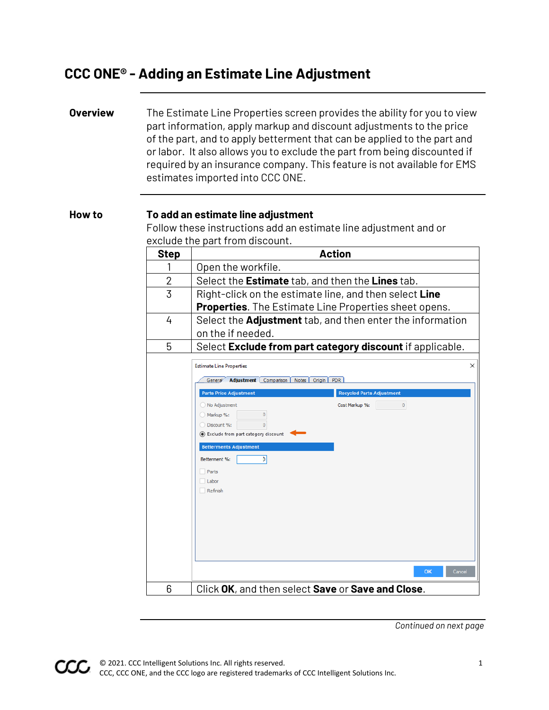## **CCC ONE® - Adding an Estimate Line Adjustment**

**Overview** The Estimate Line Properties screen provides the ability for you to view part information, apply markup and discount adjustments to the price of the part, and to apply betterment that can be applied to the part and or labor. It also allows you to exclude the part from being discounted if required by an insurance company. This feature is not available for EMS estimates imported into CCC ONE.

## **How to To add an estimate line adjustment**

Follow these instructions add an estimate line adjustment and or exclude the part from discount.

| <b>Step</b>    | <b>Action</b>                                                    |
|----------------|------------------------------------------------------------------|
|                | Open the workfile.                                               |
| $\overline{2}$ | Select the Estimate tab, and then the Lines tab.                 |
| 3              | Right-click on the estimate line, and then select Line           |
|                | <b>Properties.</b> The Estimate Line Properties sheet opens.     |
| 4              | Select the <b>Adjustment</b> tab, and then enter the information |
|                | on the if needed.                                                |
| 5              | Select Exclude from part category discount if applicable.        |



*Continued on next page*